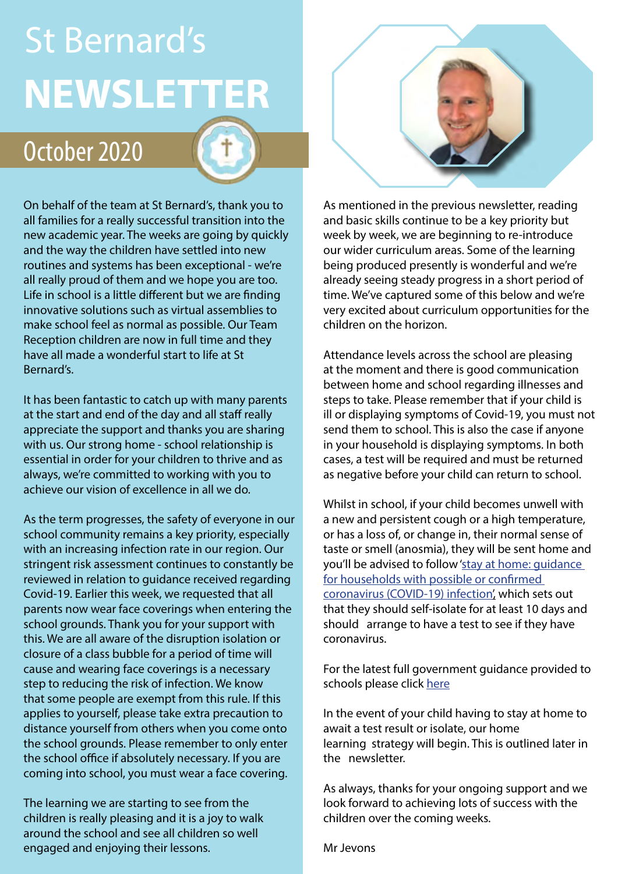# **NEWSLETTER** St Bernard's

## October 2020

On behalf of the team at St Bernard's, thank you to all families for a really successful transition into the new academic year. The weeks are going by quickly and the way the children have settled into new routines and systems has been exceptional - we're all really proud of them and we hope you are too. Life in school is a little different but we are finding innovative solutions such as virtual assemblies to make school feel as normal as possible. Our Team Reception children are now in full time and they have all made a wonderful start to life at St Bernard's.

It has been fantastic to catch up with many parents at the start and end of the day and all staff really appreciate the support and thanks you are sharing with us. Our strong home - school relationship is essential in order for your children to thrive and as always, we're committed to working with you to achieve our vision of excellence in all we do.

As the term progresses, the safety of everyone in our school community remains a key priority, especially with an increasing infection rate in our region. Our stringent risk assessment continues to constantly be reviewed in relation to guidance received regarding Covid-19. Earlier this week, we requested that all parents now wear face coverings when entering the school grounds. Thank you for your support with this. We are all aware of the disruption isolation or closure of a class bubble for a period of time will cause and wearing face coverings is a necessary step to reducing the risk of infection. We know that some people are exempt from this rule. If this applies to yourself, please take extra precaution to distance yourself from others when you come onto the school grounds. Please remember to only enter the school office if absolutely necessary. If you are coming into school, you must wear a face covering.

The learning we are starting to see from the children is really pleasing and it is a joy to walk around the school and see all children so well engaged and enjoying their lessons.

As mentioned in the previous newsletter, reading and basic skills continue to be a key priority but week by week, we are beginning to re-introduce our wider curriculum areas. Some of the learning being produced presently is wonderful and we're already seeing steady progress in a short period of time. We've captured some of this below and we're very excited about curriculum opportunities for the children on the horizon.

Attendance levels across the school are pleasing at the moment and there is good communication between home and school regarding illnesses and steps to take. Please remember that if your child is [ill or displaying symptoms of Covid-19, you must not](https://www.gov.uk/government/publications/covid-19-stay-at-home-guidance)  send them to school. This is also the case if anyone in your household is displaying symptoms. In both cases, a test will be required and must be returned as negative before your child can return to school.

Whilst in school, if your child becomes unwell with a new and persistent cough or a high temperature, or has a loss of, or change in, their normal sense of taste or smell (anosmia), they will be sent home and you'll be advised to follow 'stay at home: guidance for households with possible or confirmed coronavirus (COVID-19) infection', which sets out that they should self-isolate for at least 10 days and should arrange to have a test to see if they have coronavirus.

For the latest full government guidance provided to schools please click [here](https://www.gov.uk/government/publications/actions-for-schools-during-the-coronavirus-outbreak/guidance-for-full-opening-schools)

In the event of your child having to stay at home to await a test result or isolate, our home learning strategy will begin. This is outlined later in the newsletter.

As always, thanks for your ongoing support and we look forward to achieving lots of success with the children over the coming weeks.

Mr Jevons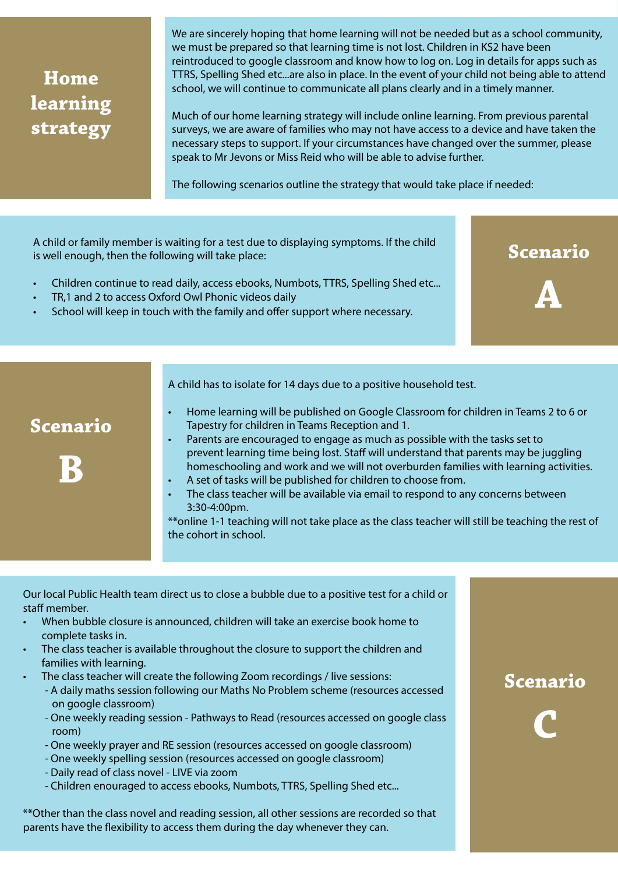### **Home learning strategy**

We are sincerely hoping that home learning will not be needed but as a school community, we must be prepared so that learning time is not lost. Children in KS2 have been reintroduced to google classroom and know how to log on. Log in details for apps such as TTRS, Spelling Shed etc...are also in place. In the event of your child not being able to attend school, we will continue to communicate all plans clearly and in a timely manner.

Much of our home learning strategy will include online learning. From previous parental surveys, we are aware of families who may not have access to a device and have taken the necessary steps to support. If your circumstances have changed over the summer, please speak to Mr Jevons or Miss Reid who will be able to advise further.

The following scenarios outline the strategy that would take place if needed:

A child or family member is waiting for a test due to displaying symptoms. If the child is well enough, then the following will take place:

- Children continue to read daily, access ebooks, Numbots, TTRS, Spelling Shed etc...
- TR,1 and 2 to access Oxford Owl Phonic videos daily
- School will keep in touch with the family and offer support where necessary.

A child has to isolate for 14 days due to a positive household test.

**Scenario** 

**B**

- Home learning will be published on Google Classroom for children in Teams 2 to 6 or Tapestry for children in Teams Reception and 1.
- Parents are encouraged to engage as much as possible with the tasks set to prevent learning time being lost. Staff will understand that parents may be juggling homeschooling and work and we will not overburden families with learning activities.
- A set of tasks will be published for children to choose from.
- The class teacher will be available via email to respond to any concerns between 3:30-4:00pm.

\*\*online 1-1 teaching will not take place as the class teacher will still be teaching the rest of the cohort in school.

Our local Public Health team direct us to close a bubble due to a positive test for a child or staff member.

- When bubble closure is announced, children will take an exercise book home to complete tasks in.
- The class teacher is available throughout the closure to support the children and families with learning.
- The class teacher will create the following Zoom recordings / live sessions:
	- A daily maths session following our Maths No Problem scheme (resources accessed on google classroom)
	- One weekly reading session Pathways to Read (resources accessed on google class room)
	- One weekly prayer and RE session (resources accessed on google classroom)
	- One weekly spelling session (resources accessed on google classroom)
	- Daily read of class novel LIVE via zoom
	- Children enouraged to access ebooks, Numbots, TTRS, Spelling Shed etc...

\*\*Other than the class novel and reading session, all other sessions are recorded so that parents have the flexibility to access them during the day whenever they can.

#### **Scenario**

**Scenario** 

**A**

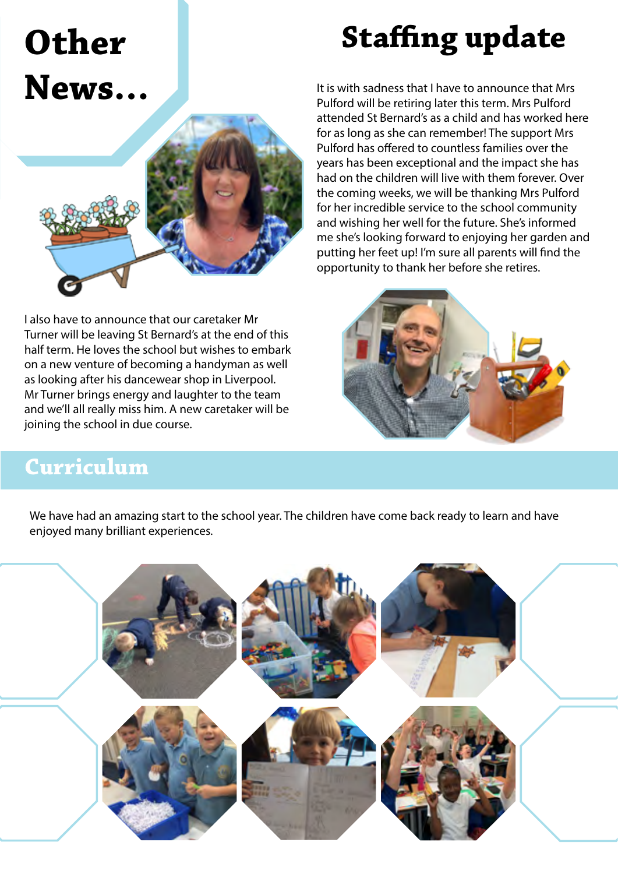## **Other News…**





I also have to announce that our caretaker Mr Turner will be leaving St Bernard's at the end of this half term. He loves the school but wishes to embark on a new venture of becoming a handyman as well as looking after his dancewear shop in Liverpool. Mr Turner brings energy and laughter to the team and we'll all really miss him. A new caretaker will be joining the school in due course.

It is with sadness that I have to announce that Mrs Pulford will be retiring later this term. Mrs Pulford attended St Bernard's as a child and has worked here for as long as she can remember! The support Mrs Pulford has offered to countless families over the years has been exceptional and the impact she has had on the children will live with them forever. Over the coming weeks, we will be thanking Mrs Pulford for her incredible service to the school community and wishing her well for the future. She's informed me she's looking forward to enjoying her garden and putting her feet up! I'm sure all parents will find the opportunity to thank her before she retires.



### **Curriculum**

We have had an amazing start to the school year. The children have come back ready to learn and have enjoyed many brilliant experiences.